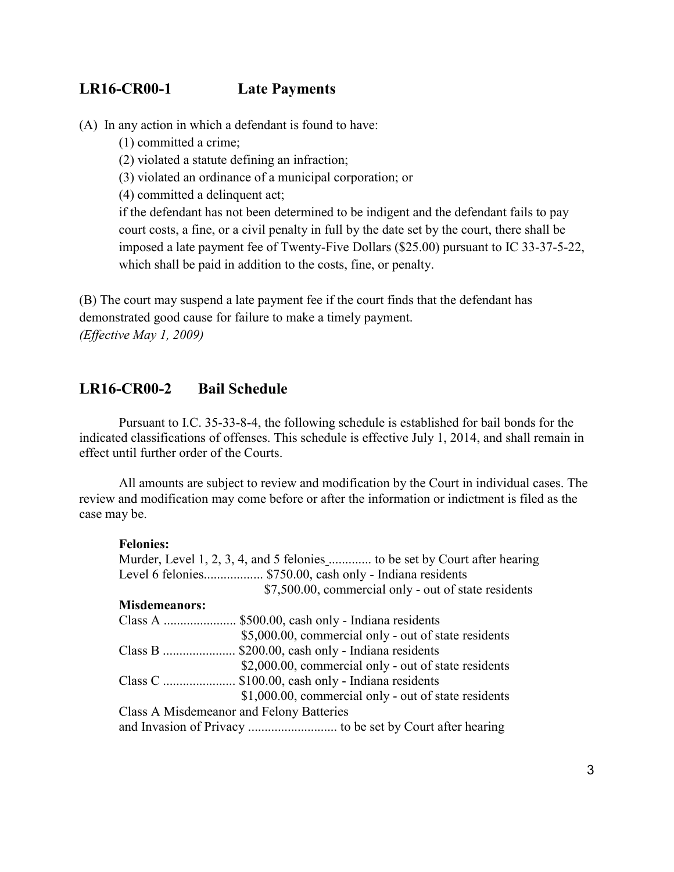## **LR16-CR00-1 Late Payments**

(A) In any action in which a defendant is found to have:

(1) committed a crime;

(2) violated a statute defining an infraction;

(3) violated an ordinance of a municipal corporation; or

(4) committed a delinquent act;

if the defendant has not been determined to be indigent and the defendant fails to pay court costs, a fine, or a civil penalty in full by the date set by the court, there shall be imposed a late payment fee of Twenty-Five Dollars (\$25.00) pursuant to IC 33-37-5-22, which shall be paid in addition to the costs, fine, or penalty.

(B) The court may suspend a late payment fee if the court finds that the defendant has demonstrated good cause for failure to make a timely payment. *(Effective May 1, 2009)*

## **LR16-CR00-2 Bail Schedule**

Pursuant to I.C. 35-33-8-4, the following schedule is established for bail bonds for the indicated classifications of offenses. This schedule is effective July 1, 2014, and shall remain in effect until further order of the Courts.

All amounts are subject to review and modification by the Court in individual cases. The review and modification may come before or after the information or indictment is filed as the case may be.

## **Felonies:**

| Level 6 felonies \$750.00, cash only - Indiana residents |
|----------------------------------------------------------|
| \$7,500.00, commercial only - out of state residents     |
| <b>Misdemeanors:</b>                                     |
| Class A  \$500.00, cash only - Indiana residents         |
| \$5,000.00, commercial only - out of state residents     |
| Class B  \$200.00, cash only - Indiana residents         |
| \$2,000.00, commercial only - out of state residents     |
| Class C  \$100.00, cash only - Indiana residents         |
| \$1,000.00, commercial only - out of state residents     |
| Class A Misdemeanor and Felony Batteries                 |
|                                                          |